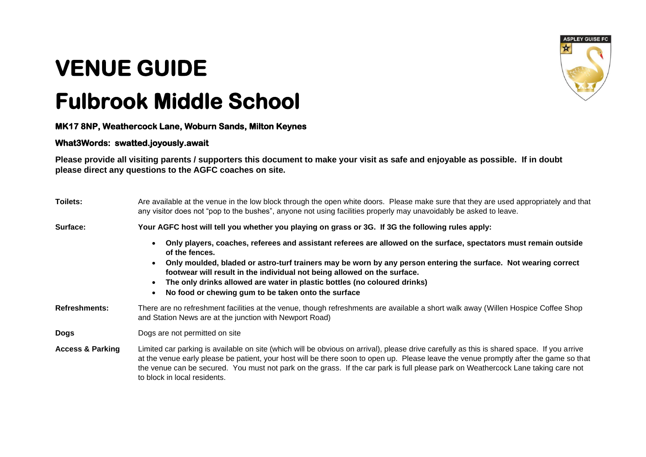## **VENUE GUIDE**

## **Fulbrook Middle School**

**MK17 8NP, Weathercock Lane, Woburn Sands, Milton Keynes** 

## **What3Words: swatted.joyously.await**

**Please provide all visiting parents / supporters this document to make your visit as safe and enjoyable as possible. If in doubt please direct any questions to the AGFC coaches on site.**

| Toilets:                    | Are available at the venue in the low block through the open white doors. Please make sure that they are used appropriately and that<br>any visitor does not "pop to the bushes", anyone not using facilities properly may unavoidably be asked to leave.                                                                                                                                                                                                              |
|-----------------------------|------------------------------------------------------------------------------------------------------------------------------------------------------------------------------------------------------------------------------------------------------------------------------------------------------------------------------------------------------------------------------------------------------------------------------------------------------------------------|
| Surface:                    | Your AGFC host will tell you whether you playing on grass or 3G. If 3G the following rules apply:                                                                                                                                                                                                                                                                                                                                                                      |
|                             | Only players, coaches, referees and assistant referees are allowed on the surface, spectators must remain outside<br>of the fences.<br>Only moulded, bladed or astro-turf trainers may be worn by any person entering the surface. Not wearing correct<br>footwear will result in the individual not being allowed on the surface.<br>The only drinks allowed are water in plastic bottles (no coloured drinks)<br>No food or chewing gum to be taken onto the surface |
| <b>Refreshments:</b>        | There are no refreshment facilities at the venue, though refreshments are available a short walk away (Willen Hospice Coffee Shop<br>and Station News are at the junction with Newport Road)                                                                                                                                                                                                                                                                           |
| <b>Dogs</b>                 | Dogs are not permitted on site                                                                                                                                                                                                                                                                                                                                                                                                                                         |
| <b>Access &amp; Parking</b> | Limited car parking is available on site (which will be obvious on arrival), please drive carefully as this is shared space. If you arrive<br>at the venue early please be patient, your host will be there soon to open up. Please leave the venue promptly after the game so that<br>the venue can be secured. You must not park on the grass. If the car park is full please park on Weathercock Lane taking care not<br>to block in local residents.               |